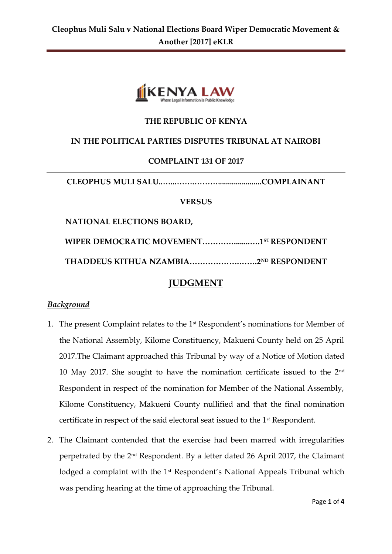

## **THE REPUBLIC OF KENYA**

## **IN THE POLITICAL PARTIES DISPUTES TRIBUNAL AT NAIROBI**

## **COMPLAINT 131 OF 2017**

**CLEOPHUS MULI SALU..…...…….………......................COMPLAINANT**

#### **VERSUS**

 **NATIONAL ELECTIONS BOARD,**

**WIPER DEMOCRATIC MOVEMENT…………........….1 ST RESPONDENT**

**THADDEUS KITHUA NZAMBIA……………….…….2ND RESPONDENT**

# **JUDGMENT**

### *Background*

- 1. The present Complaint relates to the 1st Respondent's nominations for Member of the National Assembly, Kilome Constituency, Makueni County held on 25 April 2017.The Claimant approached this Tribunal by way of a Notice of Motion dated 10 May 2017. She sought to have the nomination certificate issued to the 2nd Respondent in respect of the nomination for Member of the National Assembly, Kilome Constituency, Makueni County nullified and that the final nomination certificate in respect of the said electoral seat issued to the 1st Respondent.
- 2. The Claimant contended that the exercise had been marred with irregularities perpetrated by the 2nd Respondent. By a letter dated 26 April 2017, the Claimant lodged a complaint with the 1<sup>st</sup> Respondent's National Appeals Tribunal which was pending hearing at the time of approaching the Tribunal.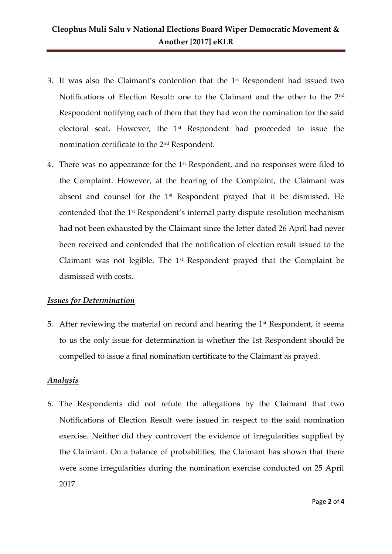- 3. It was also the Claimant's contention that the  $1<sup>st</sup>$  Respondent had issued two Notifications of Election Result: one to the Claimant and the other to the 2nd Respondent notifying each of them that they had won the nomination for the said electoral seat. However, the 1st Respondent had proceeded to issue the nomination certificate to the 2nd Respondent.
- 4. There was no appearance for the 1<sup>st</sup> Respondent, and no responses were filed to the Complaint. However, at the hearing of the Complaint, the Claimant was absent and counsel for the 1st Respondent prayed that it be dismissed. He contended that the 1st Respondent's internal party dispute resolution mechanism had not been exhausted by the Claimant since the letter dated 26 April had never been received and contended that the notification of election result issued to the Claimant was not legible. The  $1<sup>st</sup>$  Respondent prayed that the Complaint be dismissed with costs.

### *Issues for Determination*

5. After reviewing the material on record and hearing the  $1<sup>st</sup>$  Respondent, it seems to us the only issue for determination is whether the 1st Respondent should be compelled to issue a final nomination certificate to the Claimant as prayed.

## *Analysis*

6. The Respondents did not refute the allegations by the Claimant that two Notifications of Election Result were issued in respect to the said nomination exercise. Neither did they controvert the evidence of irregularities supplied by the Claimant. On a balance of probabilities, the Claimant has shown that there were some irregularities during the nomination exercise conducted on 25 April 2017.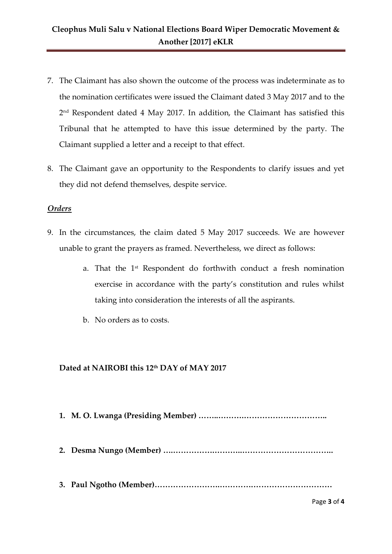# **Cleophus Muli Salu v National Elections Board Wiper Democratic Movement & Another [2017] eKLR**

- 7. The Claimant has also shown the outcome of the process was indeterminate as to the nomination certificates were issued the Claimant dated 3 May 2017 and to the 2 nd Respondent dated 4 May 2017. In addition, the Claimant has satisfied this Tribunal that he attempted to have this issue determined by the party. The Claimant supplied a letter and a receipt to that effect.
- 8. The Claimant gave an opportunity to the Respondents to clarify issues and yet they did not defend themselves, despite service.

#### *Orders*

- 9. In the circumstances, the claim dated 5 May 2017 succeeds. We are however unable to grant the prayers as framed. Nevertheless, we direct as follows:
	- a. That the 1st Respondent do forthwith conduct a fresh nomination exercise in accordance with the party's constitution and rules whilst taking into consideration the interests of all the aspirants.
	- b. No orders as to costs.

#### **Dated at NAIROBI this 12th DAY of MAY 2017**

- **1. M. O. Lwanga (Presiding Member) ……..……….…………………………..**
- **2. Desma Nungo (Member) ….…………….………..……………………………..**
- **3. Paul Ngotho (Member)…………………….………….…………………………**